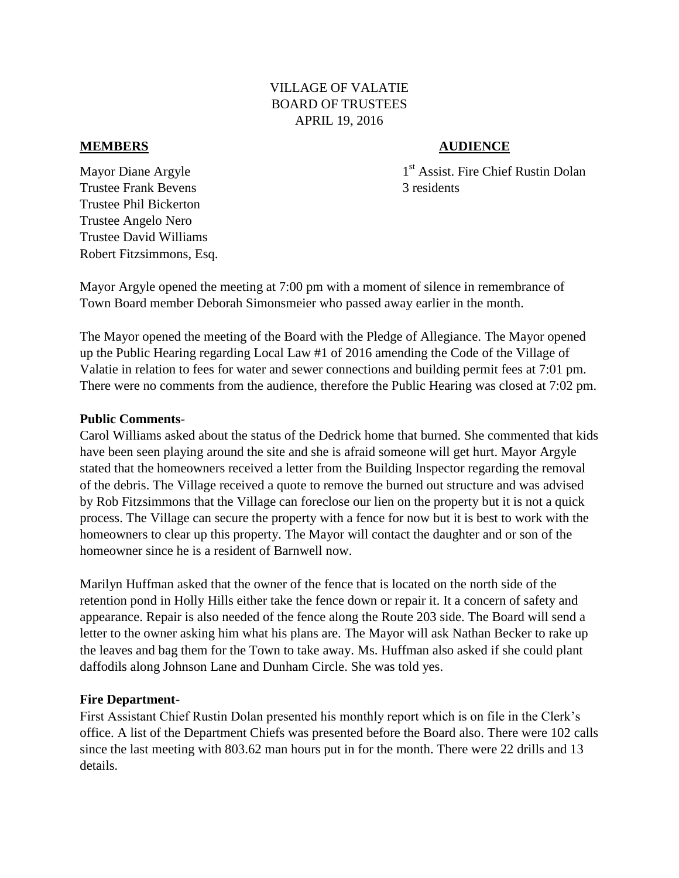## VILLAGE OF VALATIE BOARD OF TRUSTEES APRIL 19, 2016

### **MEMBERS AUDIENCE**

1<sup>st</sup> Assist. Fire Chief Rustin Dolan

Mayor Diane Argyle 1 Trustee Frank Bevens 3 residents Trustee Phil Bickerton Trustee Angelo Nero Trustee David Williams Robert Fitzsimmons, Esq.

Mayor Argyle opened the meeting at 7:00 pm with a moment of silence in remembrance of Town Board member Deborah Simonsmeier who passed away earlier in the month.

The Mayor opened the meeting of the Board with the Pledge of Allegiance. The Mayor opened up the Public Hearing regarding Local Law #1 of 2016 amending the Code of the Village of Valatie in relation to fees for water and sewer connections and building permit fees at 7:01 pm. There were no comments from the audience, therefore the Public Hearing was closed at 7:02 pm.

#### **Public Comments**-

Carol Williams asked about the status of the Dedrick home that burned. She commented that kids have been seen playing around the site and she is afraid someone will get hurt. Mayor Argyle stated that the homeowners received a letter from the Building Inspector regarding the removal of the debris. The Village received a quote to remove the burned out structure and was advised by Rob Fitzsimmons that the Village can foreclose our lien on the property but it is not a quick process. The Village can secure the property with a fence for now but it is best to work with the homeowners to clear up this property. The Mayor will contact the daughter and or son of the homeowner since he is a resident of Barnwell now.

Marilyn Huffman asked that the owner of the fence that is located on the north side of the retention pond in Holly Hills either take the fence down or repair it. It a concern of safety and appearance. Repair is also needed of the fence along the Route 203 side. The Board will send a letter to the owner asking him what his plans are. The Mayor will ask Nathan Becker to rake up the leaves and bag them for the Town to take away. Ms. Huffman also asked if she could plant daffodils along Johnson Lane and Dunham Circle. She was told yes.

#### **Fire Department**-

First Assistant Chief Rustin Dolan presented his monthly report which is on file in the Clerk's office. A list of the Department Chiefs was presented before the Board also. There were 102 calls since the last meeting with 803.62 man hours put in for the month. There were 22 drills and 13 details.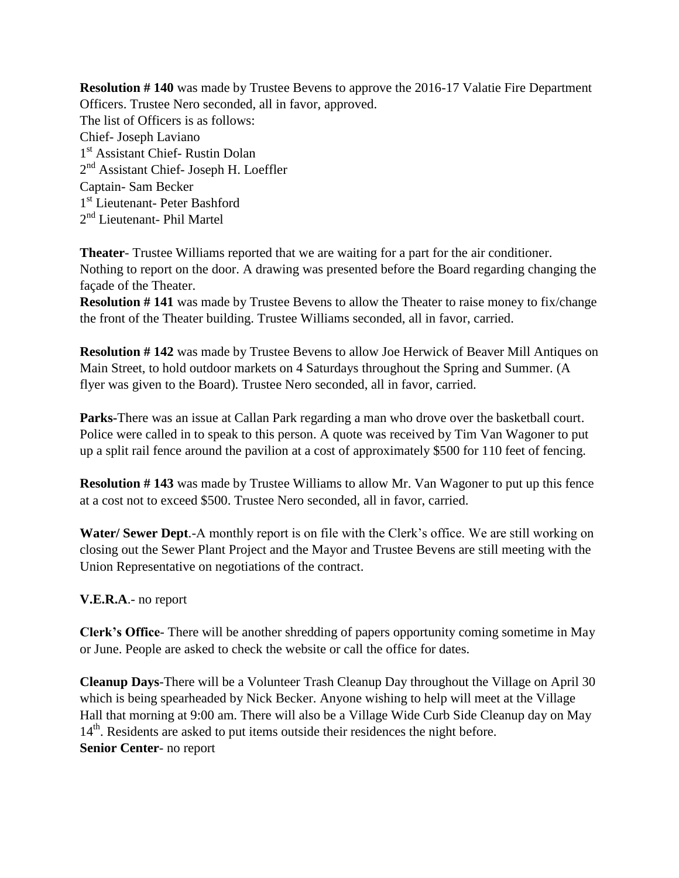**Resolution #140** was made by Trustee Bevens to approve the 2016-17 Valatie Fire Department Officers. Trustee Nero seconded, all in favor, approved. The list of Officers is as follows: Chief- Joseph Laviano 1<sup>st</sup> Assistant Chief- Rustin Dolan 2<sup>nd</sup> Assistant Chief- Joseph H. Loeffler Captain- Sam Becker 1 st Lieutenant- Peter Bashford 2<sup>nd</sup> Lieutenant- Phil Martel

**Theater**- Trustee Williams reported that we are waiting for a part for the air conditioner. Nothing to report on the door. A drawing was presented before the Board regarding changing the façade of the Theater.

**Resolution # 141** was made by Trustee Bevens to allow the Theater to raise money to fix/change the front of the Theater building. Trustee Williams seconded, all in favor, carried.

**Resolution # 142** was made by Trustee Bevens to allow Joe Herwick of Beaver Mill Antiques on Main Street, to hold outdoor markets on 4 Saturdays throughout the Spring and Summer. (A flyer was given to the Board). Trustee Nero seconded, all in favor, carried.

**Parks-**There was an issue at Callan Park regarding a man who drove over the basketball court. Police were called in to speak to this person. A quote was received by Tim Van Wagoner to put up a split rail fence around the pavilion at a cost of approximately \$500 for 110 feet of fencing.

**Resolution # 143** was made by Trustee Williams to allow Mr. Van Wagoner to put up this fence at a cost not to exceed \$500. Trustee Nero seconded, all in favor, carried.

**Water/ Sewer Dept**.-A monthly report is on file with the Clerk's office. We are still working on closing out the Sewer Plant Project and the Mayor and Trustee Bevens are still meeting with the Union Representative on negotiations of the contract.

**V.E.R.A**.- no report

**Clerk's Office**- There will be another shredding of papers opportunity coming sometime in May or June. People are asked to check the website or call the office for dates.

**Cleanup Days**-There will be a Volunteer Trash Cleanup Day throughout the Village on April 30 which is being spearheaded by Nick Becker. Anyone wishing to help will meet at the Village Hall that morning at 9:00 am. There will also be a Village Wide Curb Side Cleanup day on May 14<sup>th</sup>. Residents are asked to put items outside their residences the night before. **Senior Center**- no report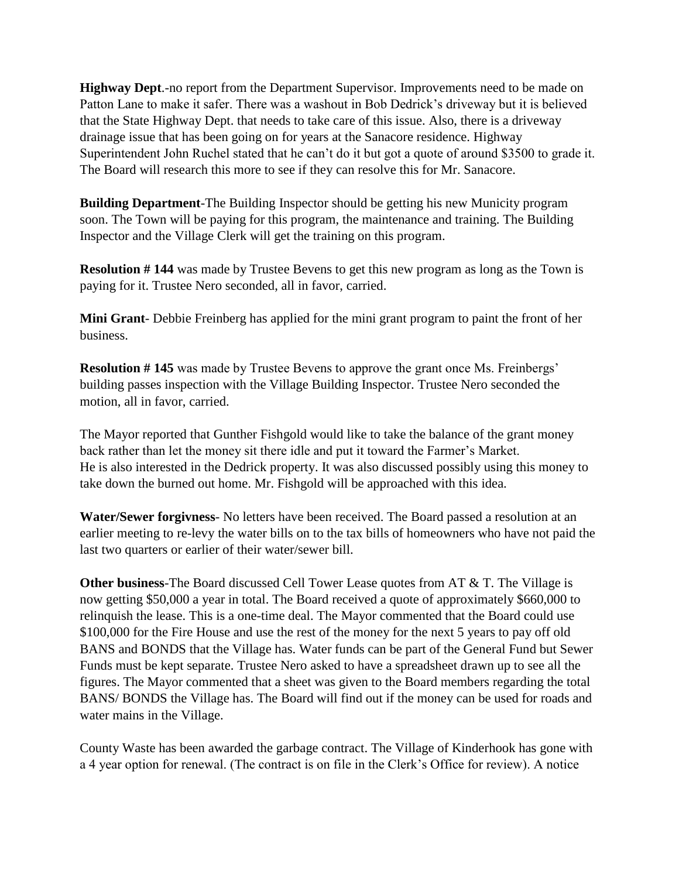**Highway Dept**.-no report from the Department Supervisor. Improvements need to be made on Patton Lane to make it safer. There was a washout in Bob Dedrick's driveway but it is believed that the State Highway Dept. that needs to take care of this issue. Also, there is a driveway drainage issue that has been going on for years at the Sanacore residence. Highway Superintendent John Ruchel stated that he can't do it but got a quote of around \$3500 to grade it. The Board will research this more to see if they can resolve this for Mr. Sanacore.

**Building Department**-The Building Inspector should be getting his new Municity program soon. The Town will be paying for this program, the maintenance and training. The Building Inspector and the Village Clerk will get the training on this program.

**Resolution # 144** was made by Trustee Bevens to get this new program as long as the Town is paying for it. Trustee Nero seconded, all in favor, carried.

**Mini Grant**- Debbie Freinberg has applied for the mini grant program to paint the front of her business.

**Resolution #145** was made by Trustee Bevens to approve the grant once Ms. Freinbergs' building passes inspection with the Village Building Inspector. Trustee Nero seconded the motion, all in favor, carried.

The Mayor reported that Gunther Fishgold would like to take the balance of the grant money back rather than let the money sit there idle and put it toward the Farmer's Market. He is also interested in the Dedrick property. It was also discussed possibly using this money to take down the burned out home. Mr. Fishgold will be approached with this idea.

**Water/Sewer forgivness**- No letters have been received. The Board passed a resolution at an earlier meeting to re-levy the water bills on to the tax bills of homeowners who have not paid the last two quarters or earlier of their water/sewer bill.

**Other business**-The Board discussed Cell Tower Lease quotes from AT & T. The Village is now getting \$50,000 a year in total. The Board received a quote of approximately \$660,000 to relinquish the lease. This is a one-time deal. The Mayor commented that the Board could use \$100,000 for the Fire House and use the rest of the money for the next 5 years to pay off old BANS and BONDS that the Village has. Water funds can be part of the General Fund but Sewer Funds must be kept separate. Trustee Nero asked to have a spreadsheet drawn up to see all the figures. The Mayor commented that a sheet was given to the Board members regarding the total BANS/ BONDS the Village has. The Board will find out if the money can be used for roads and water mains in the Village.

County Waste has been awarded the garbage contract. The Village of Kinderhook has gone with a 4 year option for renewal. (The contract is on file in the Clerk's Office for review). A notice